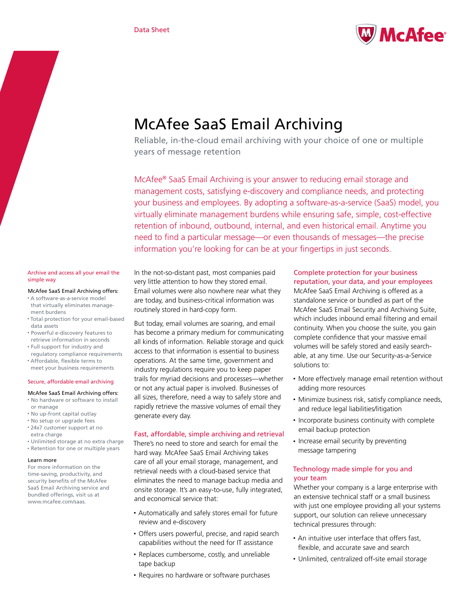

# McAfee SaaS Email Archiving

Reliable, in-the-cloud email archiving with your choice of one or multiple years of message retention

McAfee® SaaS Email Archiving is your answer to reducing email storage and management costs, satisfying e-discovery and compliance needs, and protecting your business and employees. By adopting a software-as-a-service (SaaS) model, you virtually eliminate management burdens while ensuring safe, simple, cost-effective retention of inbound, outbound, internal, and even historical email. Anytime you need to find a particular message—or even thousands of messages—the precise information you're looking for can be at your fingertips in just seconds.

## Archive and access all your email the simple way

- McAfee SaaS Email Archiving offers:
- • A software-as-a-service model that virtually eliminates management burdens
- • Total protection for your email-based data assets
- • Powerful e-discovery features to retrieve information in seconds
- • Full support for industry and regulatory compliance requirements
- • Affordable, flexible terms to meet your business requirements

### Secure, affordable email archiving

## McAfee SaaS Email Archiving offers:

- • No hardware or software to install or manage
- • No up-front capital outlay
- • No setup or upgrade fees • 24x7 customer support at no
- extra charge
- • Unlimited storage at no extra charge • Retention for one or multiple years

### Learn more

For more information on the time-saving, productivity, and security benefits of the McAfee SaaS Email Archiving service and bundled offerings, visit us at www.mcafee.com/saas.

In the not-so-distant past, most companies paid very little attention to how they stored email. Email volumes were also nowhere near what they are today, and business-critical information was routinely stored in hard-copy form.

But today, email volumes are soaring, and email has become a primary medium for communicating all kinds of information. Reliable storage and quick access to that information is essential to business operations. At the same time, government and industry regulations require you to keep paper trails for myriad decisions and processes—whether or not any actual paper is involved. Businesses of all sizes, therefore, need a way to safely store and rapidly retrieve the massive volumes of email they generate every day.

# Fast, affordable, simple archiving and retrieval

There's no need to store and search for email the hard way. McAfee SaaS Email Archiving takes care of all your email storage, management, and retrieval needs with a cloud-based service that eliminates the need to manage backup media and onsite storage. It's an easy-to-use, fully integrated, and economical service that:

- • Automatically and safely stores email for future review and e-discovery
- Offers users powerful, precise, and rapid search capabilities without the need for IT assistance
- • Replaces cumbersome, costly, and unreliable tape backup
- Requires no hardware or software purchases

# Complete protection for your business reputation, your data, and your employees

McAfee SaaS Email Archiving is offered as a standalone service or bundled as part of the McAfee SaaS Email Security and Archiving Suite, which includes inbound email filtering and email continuity. When you choose the suite, you gain complete confidence that your massive email volumes will be safely stored and easily searchable, at any time. Use our Security-as-a-Service solutions to:

- More effectively manage email retention without adding more resources
- Minimize business risk, satisfy compliance needs, and reduce legal liabilities/litigation
- Incorporate business continuity with complete email backup protection
- Increase email security by preventing message tampering

# Technology made simple for you and your team

Whether your company is a large enterprise with an extensive technical staff or a small business with just one employee providing all your systems support, our solution can relieve unnecessary technical pressures through:

- An intuitive user interface that offers fast, flexible, and accurate save and search
- Unlimited, centralized off-site email storage